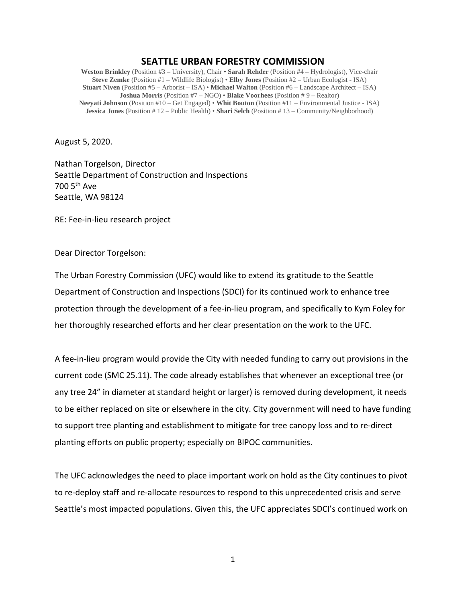## **SEATTLE URBAN FORESTRY COMMISSION**

**Weston Brinkley** (Position #3 – University), Chair • **Sarah Rehder** (Position #4 – Hydrologist), Vice-chair **Steve Zemke** (Position #1 – Wildlife Biologist) • **Elby Jones** (Position #2 – Urban Ecologist - ISA) **Stuart Niven** (Position #5 – Arborist – ISA) • **Michael Walton** (Position #6 – Landscape Architect – ISA) **Joshua Morris** (Position #7 – NGO) • **Blake Voorhees** (Position # 9 – Realtor) **Neeyati Johnson** (Position #10 – Get Engaged) • **Whit Bouton** (Position #11 – Environmental Justice - ISA) **Jessica Jones** (Position # 12 – Public Health) • **Shari Selch** (Position # 13 – Community/Neighborhood)

August 5, 2020.

Nathan Torgelson, Director Seattle Department of Construction and Inspections 700 5th Ave Seattle, WA 98124

RE: Fee-in-lieu research project

Dear Director Torgelson:

The Urban Forestry Commission (UFC) would like to extend its gratitude to the Seattle Department of Construction and Inspections (SDCI) for its continued work to enhance tree protection through the development of a fee-in-lieu program, and specifically to Kym Foley for her thoroughly researched efforts and her clear presentation on the work to the UFC.

A fee-in-lieu program would provide the City with needed funding to carry out provisions in the current code (SMC 25.11). The code already establishes that whenever an exceptional tree (or any tree 24" in diameter at standard height or larger) is removed during development, it needs to be either replaced on site or elsewhere in the city. City government will need to have funding to support tree planting and establishment to mitigate for tree canopy loss and to re-direct planting efforts on public property; especially on BIPOC communities.

The UFC acknowledges the need to place important work on hold as the City continues to pivot to re-deploy staff and re-allocate resources to respond to this unprecedented crisis and serve Seattle's most impacted populations. Given this, the UFC appreciates SDCI's continued work on

1